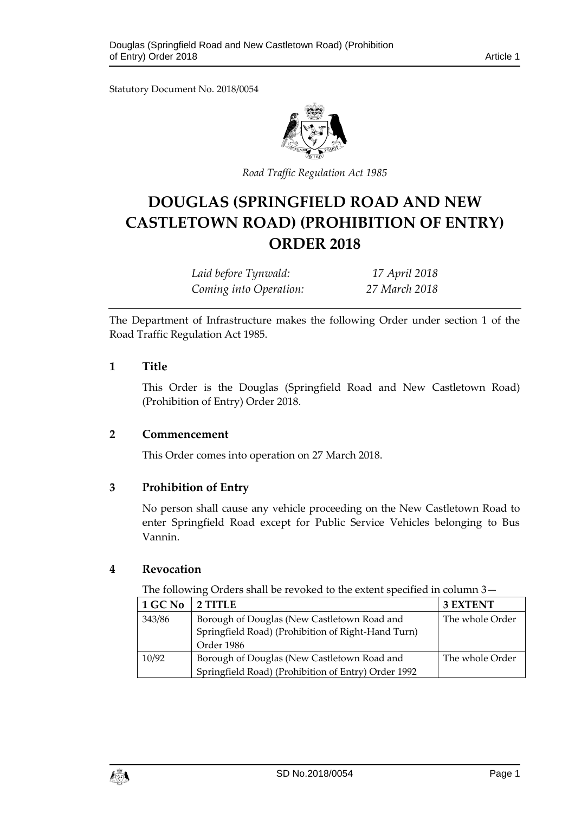Statutory Document No. 2018/0054



*Road Traffic Regulation Act 1985*

# **DOUGLAS (SPRINGFIELD ROAD AND NEW CASTLETOWN ROAD) (PROHIBITION OF ENTRY) ORDER 2018**

| Laid before Tynwald:   | 17 April 2018 |
|------------------------|---------------|
| Coming into Operation: | 27 March 2018 |

The Department of Infrastructure makes the following Order under section 1 of the Road Traffic Regulation Act 1985.

## **1 Title**

This Order is the Douglas (Springfield Road and New Castletown Road) (Prohibition of Entry) Order 2018.

#### **2 Commencement**

This Order comes into operation on 27 March 2018.

# **3 Prohibition of Entry**

No person shall cause any vehicle proceeding on the New Castletown Road to enter Springfield Road except for Public Service Vehicles belonging to Bus Vannin.

#### **4 Revocation**

The following Orders shall be revoked to the extent specified in column 3—

| 1 GC No | 2 TITLE                                             | <b>3 EXTENT</b> |
|---------|-----------------------------------------------------|-----------------|
| 343/86  | Borough of Douglas (New Castletown Road and         | The whole Order |
|         | Springfield Road) (Prohibition of Right-Hand Turn)  |                 |
|         | Order 1986                                          |                 |
| 10/92   | Borough of Douglas (New Castletown Road and         | The whole Order |
|         | Springfield Road) (Prohibition of Entry) Order 1992 |                 |

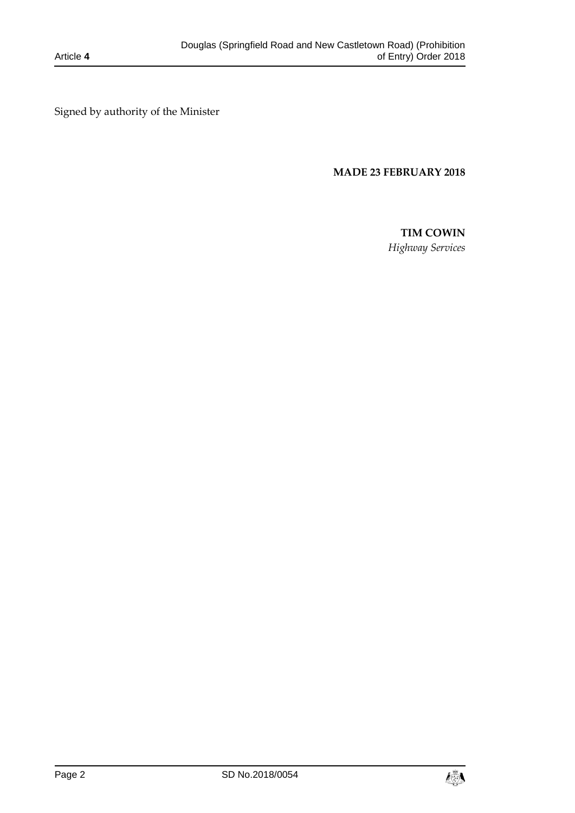Signed by authority of the Minister

# **MADE 23 FEBRUARY 2018**

# **TIM COWIN**

*Highway Services*